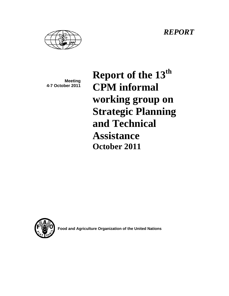*REPORT* 



**Meeting 4-7 October 2011**  Report of the 13<sup>th</sup> **CPM informal working group on Strategic Planning and Technical Assistance October 2011** 



**Food and Agriculture Organization of the United Nations**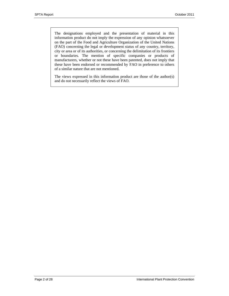The designations employed and the presentation of material in this information product do not imply the expression of any opinion whatsoever on the part of the Food and Agriculture Organization of the United Nations (FAO) concerning the legal or development status of any country, territory, city or area or of its authorities, or concerning the delimitation of its frontiers or boundaries. The mention of specific companies or products of manufacturers, whether or not these have been patented, does not imply that these have been endorsed or recommended by FAO in preference to others of a similar nature that are not mentioned.

The views expressed in this information product are those of the author(s) and do not necessarily reflect the views of FAO.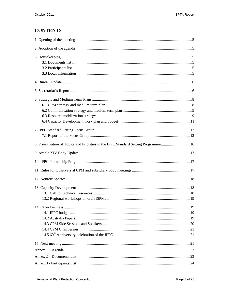# **CONTENTS**

| 8. Prioritization of Topics and Priorities in the IPPC Standard Setting Programme16 |  |
|-------------------------------------------------------------------------------------|--|
|                                                                                     |  |
|                                                                                     |  |
|                                                                                     |  |
|                                                                                     |  |
|                                                                                     |  |
|                                                                                     |  |
|                                                                                     |  |
|                                                                                     |  |
|                                                                                     |  |
|                                                                                     |  |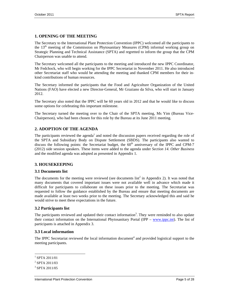## **1. OPENING OF THE MEETING**

The Secretary to the International Plant Protection Convention (IPPC) welcomed all the participants to the  $13<sup>th</sup>$  meeting of the Commission on Phytosanitary Measures (CPM) informal working group on Strategic Planning and Technical Assistance (SPTA) and regretted to inform the group that the CPM Chairperson was unable to attend.

The Secretary welcomed all the participants to the meeting and introduced the new IPPC Coordinator, Mr Fedchock, who will begin working for the IPPC Secretariat in November 2011. He also introduced other Secretariat staff who would be attending the meeting and thanked CPM members for their inkind contributions of human resources.

The Secretary informed the participants that the Food and Agriculture Organization of the United Nations (FAO) have elected a new Director-General, Mr Graziano da Silva, who will start in January 2012.

The Secretary also noted that the IPPC will be 60 years old in 2012 and that he would like to discuss some options for celebrating this important milestone.

The Secretary turned the meeting over to the Chair of the SPTA meeting, Ms Yim (Bureau Vice-Chairperson), who had been chosen for this role by the Bureau at its June 2011 meeting.

## **2. ADOPTION OF THE AGENDA**

The participants reviewed the agenda<sup>1</sup> and noted the discussion papers received regarding the role of the SPTA and Subsidiary Body on Dispute Settlement (SBDS). The participants also wanted to discuss the following points: the Secretariat budget, the  $60<sup>th</sup>$  anniversary of the IPPC and CPM-7 (2012) side session speakers. These items were added to the agenda under *Section 14. Other Business* and the modified agenda was adopted as presented in Appendix 1.

## **3. HOUSEKEEPING**

## **3.1 Documents list**

The documents for the meeting were reviewed (see documents  $list^2$  in Appendix 2). It was noted that many documents that covered important issues were not available well in advance which made it difficult for participants to collaborate on these issues prior to the meeting. The Secretariat was requested to follow the guidance established by the Bureau and ensure that meeting documents are made available at least two weeks prior to the meeting. The Secretary acknowledged this and said he would strive to meet these expectations in the future.

## **3.2 Participants list**

The participants reviewed and updated their contact information<sup>3</sup>. They were reminded to also update their contact information on the International Phytosanitary Portal (IPP –  $\frac{www.jpoc.int)}{www.jpoc.int)}$ . The list of participants is attached in Appendix 3.

#### **3.3 Local information**

The IPPC Secretariat reviewed the local information document<sup>4</sup> and provided logistical support to the meeting participants.

l

<sup>1</sup> SPTA 2011/01

<sup>2</sup> SPTA 2011/03

<sup>3</sup> SPTA 2011/05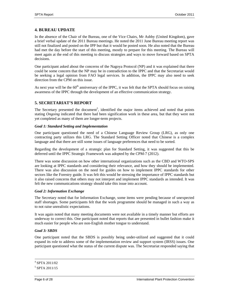## **4. BUREAU UPDATE**

In the absence of the Chair of the Bureau, one of the Vice Chairs, Mr Ashby (United Kingdom), gave a brief verbal update of the 2011 Bureau meetings. He noted the 2011 June Bureau meeting report was still not finalized and posted on the IPP but that it would be posted soon. He also noted that the Bureau had met the day before the start of this meeting, mostly to prepare for this meeting. The Bureau will meet again at the end of this meeting to discuss strategies and ways to move forward based on SPTA decisions.

One participant asked about the concerns of the Nagoya Protocol (NP) and it was explained that there could be some concern that the NP may be in contradiction to the IPPC and that the Secretariat would be seeking a legal opinion from FAO legal services. In addition, the IPPC may also need to seek direction from the CPM on this issue.

As next year will be the  $60<sup>th</sup>$  anniversary of the IPPC, it was felt that the SPTA should focus on raising awareness of the IPPC through the development of an effective communication strategy.

## **5. SECRETARIAT'S REPORT**

The Secretary presented the document<sup>5</sup>, identified the major items achieved and noted that points stating *Ongoing* indicated that there had been signification work in these area, but that they were not yet completed as many of them are longer-term projects.

### *Goal 1: Standard Setting and Implementation*

One participant questioned the need of a Chinese Language Review Group (LRG), as only one contracting party utilizes this LRG. The Standard Setting Officer noted that Chinese is a complex language and that there are still some issues of language preferences that need to be sorted.

Regarding the development of a strategic plan for Standard Setting, it was suggested that this be deferred until the IPPC Strategic Framework was adopted by the CPM-7 (2012).

There was some discussion on how other international organizations such as the CBD and WTO-SPS are looking at IPPC standards and considering their relevance, and how they should be implemented. There was also discussion on the need for guides on how to implement IPPC standards for other sectors like the Forestry guide. It was felt this would be stressing the importance of IPPC standards but it also raised concerns that others may not interpret and implement IPPC standards as intended. It was felt the new communications strategy should take this issue into account.

## *Goal 2: Information Exchange*

The Secretary noted that for Information Exchange, some items were pending because of unexpected staff shortages. Some participants felt that the work programme should be managed in such a way as to not raise unrealistic expectations.

It was again noted that many meeting documents were not available in a timely manner but efforts are underway to correct this. One participant noted that reports that are presented in bullet fashion make it much easier for people who are non-English mother tongue to understand.

### *Goal 3: SBDS*

One participant noted that the SBDS is possibly being under-utilized and suggested that it could expand its role to address some of the implementation review and support system (IRSS) issues. One participant questioned what the status of the current dispute was. The Secretariat responded saying that

 $\frac{1}{4}$  $4$  SPTA 2011/02

<sup>5</sup> SPTA 2011/15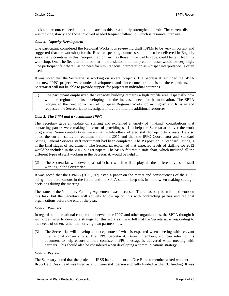dedicated resources needed to be allocated to this area to help strengthen its role. The current dispute was moving slowly and those involved needed frequent follow up, which is resource intensive.

### *Goal 4: Capacity Development*

One participant considered the Regional Workshops reviewing draft ISPMs to be very important and suggested that the workshop for the Russian speaking countries should also be delivered in English, since many countries in this European region, such as those in Central Europe, could benefit from the workshop. One The Secretariat noted that the translation and interpretation costs would be very high. One participant felt there was no need for simultaneous interpretation as whisper interpretation is often used.

It was noted that the Secretariat is working on several projects. The Secretariat reminded the SPTA that new IPPC projects were under development and since concentration is on these projects, the Secretariat will not be able to provide support for projects in individual countries.

(1) One participant emphasized that capacity building remains a high profile area, especially now with the regional blocks developing and the increased need for harmonisation. The SPTA recognized the need for a Central European Regional Workshop in English and Russian and requested the Secretariat to investigate if it could find the additional resources

### *Goal 5: The CPM and a sustainable IPPC*

The Secretary gave an update on staffing and explained a variety of "in-kind" contributions that contacting parties were making in terms of providing staff to help the Secretariat deliver the work programme. Some contributions were small while others offered staff for up to two years. He also noted the current status of recruitment for the 2011 and that the IPPC Coordinator and Standard Setting General Services staff recruitment had been completed. The P3 position in Standard Setting is in the final stages of recruitment. The Secretariat explained that expected levels of staffing for 2012 would be included in the 2012 budget papers. The SPTA felt that a staff chart, which included all the different types of staff working in the Secretariat, would be helpful.

(2) The Secretariat will develop a staff chart which will display all the different types of staff working in the Secretariat.

It was noted that the CPM-6 (2011) requested a paper on the merits and consequences of the IPPC being more autonomous in the future and the SPTA should keep this in mind when making strategic decisions during the meeting.

The status of the Voluntary Funding Agreements was discussed. There has only been limited work on this task, but the Secretary will actively follow up on this with contracting parties and regional organizations before the end of the year.

#### *Goal 6: Partners*

In regards to international cooperation between the IPPC and other organizations, the SPTA thought it would be useful to develop a strategy for this work as it was felt that the Secretariat is responding to the needs of others rather than driving own partnerships.

(3) The Secretariat will develop a concept note of what is expected when meeting with relevant international organizations. The IPPC Secretariat, Bureau members, etc. can refer to this document to help ensure a more consistent IPPC message is delivered when meeting with partners. This should also be considered when developing a communications strategy.

### *Goal 7: Review*

The Secretary noted that the project of IRSS had commenced. One Bureau member asked whether the IRSS Help Desk Lead was hired as a full time staff person and fully funded by the EU funding. It was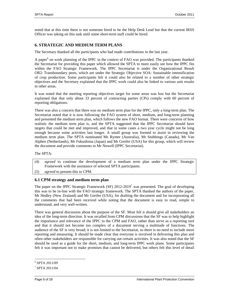noted that at this time there is not someone hired to be the Help Desk Lead but that the current IRSS Officer was taking on this task until some short-term staff could be hired.

## **6. STRATEGIC AND MEDIUM TERM PLANS**

The Secretary thanked all the participants who had made contributions in the last year.

A paper<sup>6</sup> on work planning of the IPPC in the context of FAO was provided. The participants thanked the Secretariat for providing this paper which allowed the SPTA to more easily see how the IPPC fits within the FAO Strategic Framework. The IPPC Secretariat is under the Organizational Result OR2: Transboundary pests, which are under the Strategic Objective SOA: Sustainable intensification of crop production. Some participants felt it could also be related to a number of other strategic objectives and the Secretary explained that the IPPC work could also be linked to various unit results in other areas.

It was noted that the meeting reporting objectives target for some areas was low but the Secretariat explained that that only about 33 percent of contracting parties (CPs) comply with 60 percent of reporting obligations.

There was also a concern that there was no medium term plan for the IPPC, only a long-term plan. The Secretariat noted that it is now following the FAO system of short, medium, and long-term planning and presented the medium term plan, which follows the new FAO format. There were concerns of how realistic the medium term plan is, and the SPTA suggested that the IPPC Secretariat should have targets that could be met and improved, and that in some cases a two year cycle might not be long enough because some activities last longer. A small group was formed to assist in reviewing the medium term plan. The SPTA nominated Ms Rymer (Australia), Mr Stubbings (Canada), Mr Van Alphen (Netherlands), Mr Fukushima (Japan) and Mr Greifer (USA) for this group, which will review the document and provide comments to Mr Nowell (IPPC Secretariat).

The SPTA:

(4) *agreed* to continue the development of a medium term plan under the IPPC Strategic Framework with the assistance of selected SPTA participants.

(5) *agreed* to present this to CPM.

## **6.1 CPM strategy and medium term plan**

The paper on the IPPC Strategic Framework (SF) 2012-2019<sup>7</sup> was presented. The goal of developing this was to be in-line with the FAO strategic framework. The SPTA thanked the authors of the paper, Mr Hedley (New Zealand) and Mr Greifer (USA), for drafting the document and for incorporating all the comments that had been received while noting that the document is easy to read, simple to understand, and very well-written.

There was general discussion about the purpose of the SF. Most felt it should give all stakeholders an idea of the long-term direction. It was recalled from CPM discussions that the SF was to help highlight the importance and relevance of the IPPC to the CPM and FAO, rather than serve as a reporting tool and that it should not become too complex of a document serving a multitude of functions. The audience of the SF is very broad; it is not limited to the Secretariat, so there is no need to include more reporting and measuring. It should be made clear that everyone is involved in delivering this plan and often other stakeholders are responsible for carrying out certain activities. It was also noted that the SF should be used as a guide for the short, medium, and long-term IPPC work plans. Some participants felt it was important not to make promises that cannot be delivered, but others felt this level of detail

l 6 SPTA 2011/09

<sup>7</sup> SPTA 2011/04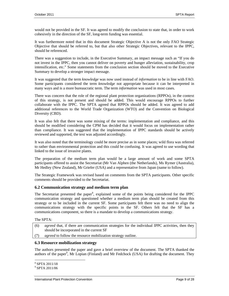would not be provided in the SF. It was agreed to modify the conclusion to state that, in order to work cohesively in the direction of the SF, long-term funding was essential.

It was furthermore noted that in this document Strategic Objective A is not the only FAO Strategic Objective that should be referred to, but that also other Strategic Objectives, relevant to the IPPC, should be referenced.

There was a suggestion to include, in the Executive Summary, an impact message such as "If you do not invest in the IPPC, then you cannot deliver on poverty and hunger alleviation, sustainability, crop intensification, etc." Some statements from the conclusion section should be moved to the Executive Summary to develop a stronger impact message.

It was suggested that the term *knowledge* was now used instead of *information* to be in line with FAO. Some participants considered the term *knowledge* not appropriate because it can be interpreted in many ways and is a more bureaucratic term. The term *information* was used in most cases.

There was concern that the role of the regional plant protection organizations (RPPOs), in the context of this strategy, is not present and should be added. This would encourage RPPOs to further collaborate with the IPPC. The SPTA agreed that RPPOs should be added. It was agreed to add additional references to the World Trade Organization (WTO) and the Convention on Biological Diversity (CBD).

It was also felt that there was some mixing of the terms: implementation and compliance, and this should be modified considering the CPM has decided that it would focus on implementation rather than compliance. It was suggested that the implementation of IPPC standards should be actively reviewed and supported, the text was adjusted accordingly.

It was also noted that the terminology could be more precise as in some places; wild flora was referred to rather than environmental protection and this could be confusing. It was agreed to use wording that linked to the issue of invasive plants.

The preparation of the medium term plan would be a large amount of work and some SPTA participants offered to assist the Secretariat (Mr Van Alphen (the Netherlands), Ms Rymer (Australia), Mr Hedley (New Zealand), Mr Griefer (USA) and a representative from Japan (name to follow).

The Strategic Framework was revised based on comments from the SPTA participants. Other specific comments should be provided to the Secretariat.

#### **6.2 Communication strategy and medium term plan**

The Secretariat presented the paper<sup>8</sup>, explained some of the points being considered for the IPPC communication strategy and questioned whether a medium term plan should be created from this strategy or to be included in the current SF. Some participants felt there was no need to align the communications strategy with the specific points in the SF. Others felt that the SF has a communications component, so there is a mandate to develop a communications strategy.

The SPTA:

- (6) *agreed* that, if there are communication strategies for the individual IPPC activities, then they should be incorporated in the current SF
- (7) *agreed* to follow the resource mobilization strategy outline.

#### **6.3 Resource mobilization strategy**

The authors presented the paper and gave a brief overview of the document. The SPTA thanked the authors of the paper<sup>9</sup>, Mr Lopian (Finland) and Mr Fedchock (USA) for drafting the document. They

 $\overline{a}$ 8 SPTA 2011/18

<sup>9</sup> SPTA 2011/06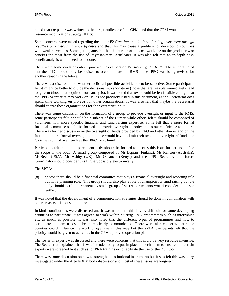noted that the paper was written to the target audience of the CPM, and that the CPM would adopt the resource mobilization strategy (RMS).

Some concerns were raised regarding the point: F2 *Creating an additional funding instrument through royalties on Phytosanitary Certificates* and that this may cause a problem for developing countries with weak currencies. Some participants felt that the burden of the cost would be on the producer who benefits the most from the use of Phytosanitary Certificates. It was also felt that an in-depth costbenefit analysis would need to be done.

There were some questions about practicalities of Section IV: *Revising the IPPC*. The authors noted that the IPPC should only be revised to accommodate the RMS if the IPPC was being revised for another reason in the future.

There was a discussion on whether to list all possible activities or to be selective. Some participants felt it might be better to divide the decisions into short-term (those that are feasible immediately) and long-term (those that required more analysis). It was noted that text should be left flexible enough that the IPPC Secretariat may work on issues not precisely listed in this document, as the Secretariat does spend time working on projects for other organizations. It was also felt that maybe the Secretariat should charge these organizations for the Secretariat input.

There was some discussion on the formation of a group to provide oversight or input to the RMS, some participants felt it should be a sub-set of the Bureau while others felt it should be composed of volunteers with more specific financial and fund raising expertise. Some felt that a more formal financial committee should be formed to provide oversight in order to bestow confidence to donors. There was further discussion on the oversight of funds provided by FAO and other donors and on the fact that a more formal oversight committee would have to limit their scope to oversight of funds the CPM has control over, such as the IPPC Trust Fund.

Participants felt that a non-permanent body should be formed to discuss this issue further and define the scope of the body. A small group composed of Mr Lopian (Finland), Ms Ranson (Australia), Ms Bech (USA), Mr Ashby (UK), Mr Onsando (Kenya) and the IPPC Secretary and future Coordinator should consider this further, possibly electronically.

The SPTA:

(8) *agreed* there should be a financial committee that plays a financial oversight and reporting role but not a planning role. This group should also play a role of champion for fund raising but the body should not be permanent. A small group of SPTA participants would consider this issue further.

It was noted that the development of a communication strategies should be done in combination with other areas as it is not stand-alone.

In-kind contributions were discussed and it was noted that this is very difficult for some developing countries to participate. It was agreed to work within existing FAO programmes such as internships etc. as much as possible. It was also noted that the different types of programmes and how to participate in them needs to be more clearly communicated. There were also concerns that some counties could influence the work programme in this way but the SPTA participants felt that the priority would be given to activities in the CPM approved operation plan.

The roster of experts was discussed and there were concerns that this could be very resource intensive. The Secretariat explained that it was intended only to put in place a mechanism to ensure that certain experts were screened first such as for PRA training or to facilitate the use of the PCE tool.

There was some discussion on how to strengthen institutional instruments but it was felt this was being investigated under the Article XIV body discussion and most of these issues are long-term.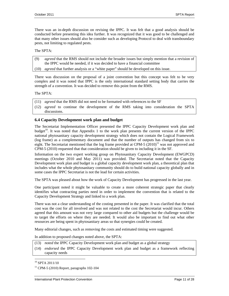There was an in-depth discussion on revising the IPPC. It was felt that a good analysis should be conducted before presenting this idea further. It was recognized that it was good to be challenged and that many other issues should also be consider such as developing Protocol to deal with transboundary pests, not limiting to regulated pests.

#### The SPTA:

- (9) *agreed* that the RMS should not include the broader issues but simply mention that a revision of the IPPC would be needed, if it was decided to have a financial committee
- (10) *agreed* that further analysis or a "white paper" should be developed on this issue.

There was discussion on the proposal of a joint convention but this concept was felt to be very complex and it was noted that IPPC is the only international standard setting body that carries the strength of a convention. It was decided to remove this point from the RMS.

#### The SPTA:

- (11) *agreed* that the RMS did not need to be formatted with references to the SF
- (12) *agreed* to continue the development of the RMS taking into consideration the SPTA discussions.

### **6.4 Capacity Development work plan and budget**

The Secretariat Implementation Officer presented the IPPC Capacity Development work plan and budget<sup>10</sup>. It was noted that Appendix 1 to the work plan presents the current version of the IPPC national phytosanitary capacity development strategy which does not contain the Logical Framework (log frame) as a complementary document and that the number of outputs has changed from six to eight. The Secretariat mentioned that the log frame provided at CPM-5  $(2010)^{11}$  was not approved and CPM-5 (2010) requested that that consideration should be given to including it in the SF.

Information on the two expert working group on Phytosanitary Capacity Development (EWGPCD) meetings (October 2010 and May 2011) was provided. The Secretariat noted that the Capacity Development work plan and budget is a global capacity development work plan, a theoretical plan that includes what the whole phytosanitary community should do to build national capacity globally and in some cases the IPPC Secretariat is not the lead for certain activities.

The SPTA was pleased about how the work of Capacity Development has progressed in the last year.

One participant noted it might be valuable to create a more coherent strategic paper that clearly identifies what contracting parties need in order to implement the convention that is related to the Capacity Development Strategy and linked to a work plan.

There was not a clear understanding of the costing presented in the paper. It was clarified that the total cost was the cost for all involved and was not related to the cost the Secretariat would incur. Others agreed that this amount was not very large compared to other aid budgets but the challenge would be to target the efforts on where they are needed. It would also be important to find out what other resources are being spent in phytosanitary areas so that synergies could be created.

Many editorial changes, such as removing the costs and estimated timing were suggested.

In addition to proposed changes noted above, the SPTA:

- (13) *noted* the IPPC Capacity Development work plan and budget as a global strategy
- (14) *endorsed* the IPPC Capacity Development work plan and budget as a framework reflecting capacity needs

 $10$  SPTA 2011/10

l

 $11$  CPM-5 (2010) Report, paragraphs 102-104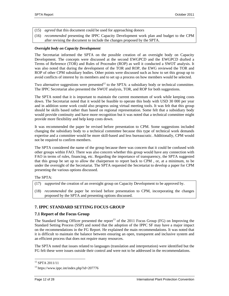- (15) *agreed* that this document could be used for approaching donors
- (16) *recommended* presenting the IPPC Capacity Development work plan and budget to the CPM after revising the document to include the changes proposed by the SPTA.

#### *Oversight body on Capacity Development*

The Secretariat informed the SPTA on the possible creation of an oversight body on Capacity Development. The concepts were discussed at the second EWGPCD and the EWGPCD drafted a Terms of Reference (TOR) and Rules of Proceudre (ROP) as well it conducted a SWOT analysis. It was also noted that during the development of the TOR and ROP, the EWG reviewed the TOR and ROP of other CPM subsidiary bodies. Other points were discussed such as how to set this group up to avoid conflicts of interest by its members and to set up a process on how members would be selected.

Two alternative suggestions were presented<sup>12</sup> to the SPTA: a subsidiary body or technical committee. The IPPC Secretariat also presented the SWOT analysis, TOR, and ROP for both suggestions.

The SPTA noted that it is important to maintain the current momentum of work while keeping costs down. The Secretariat noted that it would be feasible to operate this body with USD 30 000 per year and in addition some work could also progress using virtual meeting tools. It was felt that this group should be skills based rather than based on regional representation. Some felt that a subsidiary body would provide continuity and have more recognition but it was noted that a technical committee might provide more flexibility and help keep costs down.

It was recommended the paper be revised before presentation to CPM. Some suggestions included changing the subsidiary body to a technical committee because this type of technical work demands expertise and a committee would be more skill-based and less bureaucratic. Additionally, CPM would not be required to confirm members.

The SPTA considered the name of the group because there was concern that it could be confused with other groups within FAO. There was also concern whether this group would have any connection with FAO in terms of rules, financing, etc. Regarding the importance of transparency, the SPTA suggested that this group be set up to allow the chairperson to report back to CPM , or, at a minimum, to be under the oversight of the Secretariat. The SPTA requested the Secretariat to develop a paper for CPM presenting the various options discussed.

#### The SPTA:

- (17) *supported* the creation of an oversight group on Capacity Development to be approved by.
- (18) *recommended* the paper be revised before presentation to CPM, incorporating the changes proposed by the SPTA and presenting options discussed.

## **7. IPPC STANDARD SETTING FOCUS GROUP**

#### **7.1 Report of the Focus Group**

The Standard Setting Officer presented the report<sup>13</sup> of the 2011 Focus Group (FG) on Improving the Standard Setting Process (SSP) and noted that the adoption of the IPPC SF may have a major impact on the recommendations in the FG Report. He explained the main recommendations. It was noted that it is difficult to maintain the balance between ensuring an open, transparent and inclusive system and an efficient process that does not require many resources.

The SPTA noted that issues related to languages (translation and interpretation) were identified but the FG felt these were issues outside their control and were not to be addressed in the recommendations.

l

<sup>12</sup> SPTA 2011/11

<sup>13</sup> https://www.ippc.int/index.php?id=207776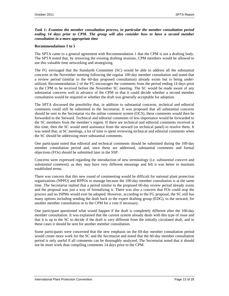*Task 1: Examine the member consultation process, in particular the member consultation period ending 14 days prior to CPM. The group will also consider how to have a second member consultation in a more appropriate time* 

#### **Recommendations 1 to 5**

The SPTA came to a general agreement with Recommendation 1 that the CPM is not a drafting body. The SPTA noted that, by removing the evening drafting sessions, CPM members would be allowed to use this valuable time networking and strategizing.

The FG envisaged that the Standards Committee (SC) would be able to address all the substantial concerns in the November meeting following the regular 100-day member consultation and noted that a review period (similar to the 60-day proposed consultation) already exists but is being underutilized. Recommendation 2 of the FG encourages the comments from the period ending 14 days prior to the CPM to be received before the November SC meeting. The SC would be made aware of any substantial concerns well in advance of the CPM so that it could decide whether a second member consultation would be required or whether the draft was generally acceptable for adoption.

The SPTA discussed the possibility that, in addition to substantial concerns, technical and editorial comments could still be submitted to the Secretariat. It was proposed that all substantial concerns should be sent to the Secretariat via the online comment system (OCS), these comments would then be forwarded to the Steward. Technical and editorial comments of less importance would be forwarded to the SC members from the member's region. If there are technical and editorial comments received at this time, then the SC would need assistance from the steward (or technical panel) to resolve them. It was noted that, at SC meetings, a lot of time is spent reviewing technical and editorial comments when the SC should be addressing more substantial comments.

One participant noted that editorial and technical comments should be submitted during the 100-day member consultation period and, once these are addressed, substantial comments and formal objections (FOs) should be submitted later in the SSP.

Concerns were expressed regarding the introduction of new terminology (i.e. *substantial concern* and *substantial comment)*, as they may have very different meanings and felt it was better to maintain established terms.

There was concern that this new round of commenting would be difficult for national plant protection organizations (NPPO) and RPPOs to manage because the 100-day member consultation is at the same time. The Secretariat replied that a period similar to the proposed 60-day review period already exists and the proposal was just a way of formalizing it. There was also a concern that FOs could stop the process and no ISPMs would ever be adopted. However, according to the FG proposal, the SC still has many options including sending the draft back to the expert drafting group (EDG), to the steward, for another member consultation or to the CPM for a vote if necessary.

One participant questioned what would happen if the draft is completely different after the 100-day member consultation. It was explained that the current system already deals with this type of issue and that it is up to the SC to decide if the draft is very different from the initially circulated draft, and in these cases it should be sent for another member consultation.

Some participants were concerned that the new emphasis on the 60-day member consultation period would create more work for the SC and the Secretariat and noted that the 60-day member consultation period is only useful if all comments can be thoroughly analyzed. The Secretariat noted that it should not be more work than compiling comments 14 days prior to the CPM.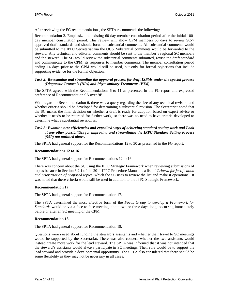After reviewing the FG recommendations, the SPTA recommends the following:

Recommendation 2. Emphasize the existing 60-day member consultation period after the initial 100 day member consultation period. This review will allow CPM members 60 days to review SC-7 approved draft standards and should focus on substantial comments. All substantial comments would be submitted to the IPPC Secretariat via the OCS. Substantial comments would be forwarded to the steward. Any technical and editorial comments should be sent to the member's regional SC members and the steward. The SC would review the substantial comments submitted, revise the draft standard and communicate to the CPM, its responses to member comments. The member consultation period ending 14 days prior to the CPM would still be used, but only for formal objections that include supporting evidence for the formal objection.

#### *Task 2: Re-examine and streamline the approval process for draft ISPMs under the special process (Diagnostic Protocols (DPs) and Phytosanitary Treatments (PTs))*

The SPTA agreed with the Recommendations 6 to 11 as presented in the FG report and expressed preference of Recommendation 9A over 9B.

With regard to Recommendation 6, there was a query regarding the size of any technical revision and whether criteria should be developed for determining a substantial revision. The Secretariat noted that the SC makes the final decision on whether a draft is ready for adoption based on expert advice or whether it needs to be returned for further work, so there was no need to have criteria developed to determine what a substantial revision is.

### *Task 3: Examine new efficiencies and expedited ways of achieving standard setting work and Look at any other possibilities for improving and streamlining the IPPC Standard Setting Process (SSP) not outlined above.*

The SPTA had general support for the Recommendations 12 to 30 as presented in the FG report.

#### **Recommendations 12 to 16**

The SPTA had general support for Recommendations 12 to 16.

There was concern about the SC using the IPPC Strategic Framework when reviewing submissions of topics because in Section 3.2.1 of the 2011 IPPC Procedure Manual is a list of *Criteria for justification and prioritization of proposed topics*, which the SC uses to review the list and make it operational. It was noted that these criteria would still be used in addition to the IPPC Strategic Framework.

#### **Recommendation 17**

The SPTA had general support for Recommendation 17.

The SPTA determined the most effective form of the *Focus Group to develop a Framework for Standards* would be via a face-to-face meeting, about two or three days long, occurring immediately before or after an SC meeting or the CPM.

#### **Recommendation 18**

The SPTA had general support for Recommendation 18.

Questions were raised about funding the steward's assistants and whether their travel to SC meetings would be supported by the Secretariat. There was also concern whether the two assistants would instead create more work for the lead steward. The SPTA was informed that it was not intended that the steward's assistants would always participate in SC meetings. Their role would be to support the lead steward and provide a developmental opportunity. The SPTA also considered that there should be some flexibility as they may not be necessary in all cases.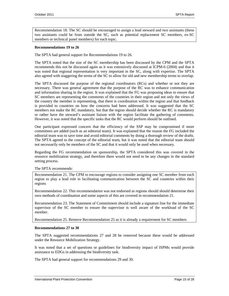Recommendation 18. The SC should be encouraged to assign a lead steward and two assistants (these two assistants could be from outside the SC, such as potential replacement SC members, ex-SC members or technical panel members) for each topic.

#### **Recommendations 19 to 26**

The SPTA had general support for Recommendations 19 to 26.

The SPTA noted that the size of the SC membership has been discussed by the CPM and the SPTA recommends this not be discussed again as it was extensively discussed at ICPM-6 (2004) and that it was noted that regional representation is very important in the SC, along with expertise. The SPTA also agreed with staggering the terms of the SC to allow for old and new membership terms to overlap.

The SPTA discussed the purpose of the regional coordinators (RCs) and whether or not they are necessary. There was general agreement that the purpose of the RC was to enhance communication and information sharing in the region. It was explained that the FG was proposing ideas to ensure that SC members are representing the comments of the countries in their region and not only the views of the country the member is representing, that there is coordination within the region and that feedback is provided to countries on how the concerns had been addressed. It was suggested that the SC members not make the RC mandatory, but that the region should decide whether the RC is mandatory or rather have the steward's assistant liaison with the region facilitate the gathering of comments. However, it was noted that the specific tasks that the RC would perform should be outlined.

One participant expressed concern that the efficiency of the SSP may be compromised if more committees are added (such as an editorial team). It was explained that the reason the FG included the editorial team was to save time and avoid editorial comments by doing a thorough review of the drafts. The SPTA agreed to the concept of the editorial team, but it was noted that the editorial team should not necessarily only be members of the SC and that it would only be used when necessary.

Regarding the FG recommendation on sponsorship, the SPTA considered this was covered in the resource mobilization strategy, and therefore there would not need to be any changes in the standard setting process.

#### The SPTA recommends:

Recommendation 21. The CPM to encourage regions to consider assigning one SC member from each region to play a lead role in facilitating communication between the SC and countries within their regions

Recommendation 22. This recommendation was not endorsed as regions should should determine their own methods of coordination and some aspects of this are covered in recommendation 21.

Recommendation 23. The Statement of Commitment should include a signature line for the immediate supervisor of the SC member to ensure the supervisor is well aware of the workload of the SC member.

Recommendation 25. Remove Recommendation 25 as it is already a requirement for SC members

#### **Recommendations 27 to 30**

The SPTA suggested recommendations 27 and 28 be removed because these would be addressed under the Resource Mobilization Strategy.

It was noted that a set of questions or guidelines for biodiversity impact of ISPMs would provide assistance to EDGs in addressing the biodiversity task.

The SPTA had general support for recommendations 29 and 30.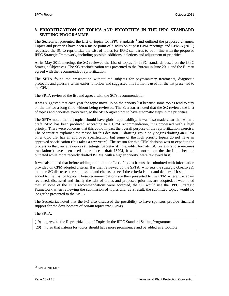## **8. PRIORITIZATION OF TOPICS AND PRIORITIES IN THE IPPC STANDARD SETTING PROGRAMME**

The Secretariat presented the List of topics for IPPC standards<sup>14</sup> and outlined the proposed changes. Topics and priorities have been a major point of discussion at past CPM meetings and CPM-6 (2011) requested the SC to reprioritize the List of topics for IPPC standards to be in line with the proposed IPPC Strategic Framework, including possible additions, deletions and adjustment of priorities.

At its May 2011 meeting, the SC reviewed the List of topics for IPPC standards based on the IPPC Strategic Objectives. The SC reprioritization was presented to the Bureau in June 2011 and the Bureau agreed with the recommended reprioritization.

The SPTA found the presentation without the subjects for phytosanitary treatments, diagnostic protocols and glossary terms easier to follow and suggested this format is used for the list presented to the CPM.

The SPTA reviewed the list and agreed with the SC's recommendation.

It was suggested that each year the topic move up on the priority list because some topics tend to stay on the list for a long time without being reviewed. The Secretariat noted that the SC reviews the List of topics and priorities every year, so the SPTA agreed not to have automatic steps in the priorities.

The SPTA noted that all topics should have global applicability. It was also made clear that when a draft ISPM has been produced, according to a CPM recommendation, it is processed with a high priority. There were concerns that this could impact the overall purpose of the reprioritization exercise. The Secretariat explained the reason for this decision. A drafting group only begins drafting an ISPM on a topic that has an approved specification, but some of the high priority topics do not have an approved specification (this takes a few years). The reason for this CPM decision was to expedite the process so that, once resources (meetings, Secretariat time, edits, formats, SC reviews and sometimes translations) have been used to produce a draft ISPM, it would not sit on the shelf and become outdated while more recently drafted ISPMs, with a higher priority, were reviewed first.

It was also noted that before adding a topic to the List of topics it must be submitted with information provided on CPM adopted criteria. It is then reviewed by the SPTA (who sets the strategic objectives), then the SC discusses the submission and checks to see if the criteria is met and decides if it should be added to the List of topics. These recommendations are then presented to the CPM where it is again reviewed, discussed and finally the List of topics and proposed priorities are adopted. It was noted that, if some of the FG's recommendations were accepted, the SC would use the IPPC Strategic Framework when reviewing the submission of topics and, as a result, the submitted topics would no longer be presented to the SPTA.

The Secretariat noted that the FG also discussed the possibility to have sponsors provide financial support for the development of certain topics into ISPMs.

The SPTA:

(19) *agreed* to the Reprioritization of Topics in the IPPC Standard Setting Programme (20) *noted* that criteria for topics should have more prominence and be added as a footnote.

 $\overline{a}$ 

<sup>14</sup> SPTA 2011/07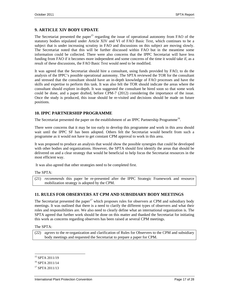## **9. ARTICLE XIV BODY UPDATE**

The Secretariat presented the paper<sup>15</sup> regarding the issue of operational autonomy from FAO of the statutory bodies stipulated under Article XIV and VI of FAO Basic Text, which continues to be a subject that is under increasing scrutiny in FAO and discussions on this subject are moving slowly. The Secretariat noted that this will be further discussed within FAO but in the meantime some information could be collected. There were also concerns that the IPPC Secretariat will have less funding from FAO if it becomes more independent and some concerns of the time it would take if, as a result of these discussions, the FAO Basic Text would need to be modified.

It was agreed that the Secretariat should hire a consultant, using funds provided by FAO, to do the analysis of the IPPC's possible operational autonomy. The SPTA reviewed the TOR for the consultant and stressed that the consultant should have an in-depth knowledge of FAO processes and have the skills and expertise to perform this task. It was also felt the TOR should indicate the areas where the consultant should explore in-depth. It was suggested the consultant be hired soon so that some work could be done, and a paper drafted, before CPM-7 (2012) considering the importance of the issue. Once the study is produced, this issue should be re-visited and decisions should be made on future positions.

## **10. IPPC PARTNERSHIP PROGRAMME**

The Secretariat presented the paper on the establishment of an IPPC Partnership Programme<sup>16</sup>.

There were concerns that it may be too early to develop this programme and work in this area should wait until the IPPC SF has been adopted. Others felt the Secretariat would benefit from such a programme as it would not have to get constant CPM approval to work in this area.

It was proposed to produce an analysis that would show the possible synergies that could be developed with other bodies and organizations. However, the SPTA should first identify the areas that should be delivered on and a clear strategy that would be beneficial to help focus the Secretariat resources in the most efficient way.

It was also agreed that other strategies need to be completed first.

The SPTA:

(21) *recommends* this paper be re-presented after the IPPC Strategic Framework and resource mobilization strategy is adopted by the CPM.

## **11. RULES FOR OBSERVERS AT CPM AND SUBSIDIARY BODY MEETINGS**

The Secretariat presented the paper<sup>17</sup> which proposes rules for observers at CPM and subsidiary body meetings. It was outlined that there is a need to clarify the different types of observers and what their roles and responsibilities are. We also need to clearly define what an international organization is. The SPTA agreed that further work should be done on this matter and thanked the Secretariat for initiating this work as concerns regarding observers has been raised at several CPM meetings.

The SPTA:

(22) *agrees* to the re-organization and clarification of Rules for Observers to the CPM and subsidiary body meetings and requested the Secretariat to prepare a paper for CPM.

l

<sup>15</sup> SPTA 2011/19

<sup>16</sup> SPTA 2011/14

<sup>17</sup> SPTA 2011/13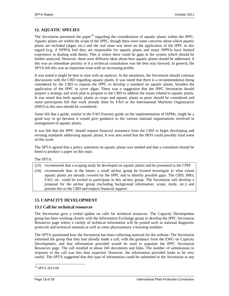## **12. AQUATIC SPECIES**

The Secretariat presented the paper<sup>18</sup> regarding the consideration of aquatic plants within the IPPC. Aquatic plants are within the scope of the IPPC, though there were some concerns about which aquatic plants are included (algae, etc.) and the real issue was more on the application of the IPPC in this regard (e.g. if NPPOs feel they are responsible for aquatic plants and many NPPOs have limited experience in dealing with them). This is where there could be gaps in the system which should be further analyzed. However, there were different ideas about how aquatic plants should be addressed, if this was an immediate priority or if a technical consultation was the best way forward. In general, the SPTA felt this was an important issue with an increasing profile.

It was noted it might be best to start with an analysis. In the meantime, the Secretariat should continue discussions with the CBD regarding aquatic plants. It was noted that there is a recommendation being considered by the CBD to request the IPPC to develop a standard on aquatic plants, broaden the application of the IPPC to cover algae. There was a suggestion that the IPPC Secretariat should prepare a strategy and work plan to propose to the CBD to address the issues related to aquatic plants. It was noted that both aquatic plants as crops and aquatic plants as pests should be considered and some participants felt that work already done by FAO or the International Maritime Organization (IMO) in this area should be considered.

Some felt that a guide, similar to the FAO Forestry guide on the implementation of ISPMs, might be a good way to go because it would give guidance to the various national organizations involved in management of aquatic plants.

It was felt that the IPPC should request financial assistance from the CBD to begin developing and revising standards addressing aquatic plants. It was also noted that the IRSS could possibly fund some of this work.

The SPTA agreed that a policy statement on aquatic plants was needed and that a consultant should be hired to produce a paper on this topic.

The SPTA:

- (23) *recommends* that a scoping study be developed on aquatic plants and be presented to the CPM
- (24) *recommends* that, in the future, a small ad-hoc group be formed investigate to what extent aquatic plants are already covered by the IPPC and to identify possible gaps. The CBD, IMO, FAO, etc. could be invited to participate in this ad-hoc group. The Secretariat will develop a proposal for the ad-hoc group (including background information, scope, study, etc.) and present this to the CBD and request financial support.

## **13. CAPACITY DEVELOPMENT**

### **13.1 Call for technical resources**

The Secretariat gave a verbal update on calls for technical resources. The Capacity Development group has been working closely with the Information Exchange group to develop the IPPC Secretariat Resources page where a variety of technical information will be posted such as national diagnostic protocols and technical manuals as well as some phytosanitary e-learning modules.

The SPTA questioned how the Secretariat has been collecting material for the website. The Secretariat informed the group that they had already made a call, with the guidance from the EWG on Capacity Development, and that information provided would be used to populate the IPPC Secretariat Resources page. The call resulted in about 160 documents and links. The number of submissions in response to the call was less than expected. However, the information provided looks to be very useful. The SPTA suggested that this type of information could be submitted to the Secretariat at any

 $\overline{a}$ 

<sup>18</sup> SPTA 2011/08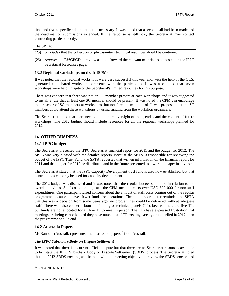time and that a specific call might not be necessary. It was noted that a second call had been made and the deadline for submissions extended. If the response is still low, the Secretariat may contact contracting parties directly.

#### The SPTA:

- (25) *concludes* that the collection of phytosanitary technical resources should be continued
- (26) *requests* the EWGPCD to review and put forward the relevant material to be posted on the IPPC Secretariat Resources page.

### **13.2 Regional workshops on draft ISPMs**

It was noted that the regional workshops were very successful this year and, with the help of the OCS, generated and shared workshop comments with the participants. It was also noted that seven workshops were held, in spite of the Secretariat's limited resources for this purpose.

There was concern that there was not an SC member present at each workshops and it was suggested to install a rule that at least one SC member should be present. It was noted the CPM can encourage the presence of SC members at workshops, but not force them to attend. It was proposed that the SC members could attend these workshops by using funding from the workshop organizers.

The Secretariat noted that there needed to be more oversight of the agendas and the content of future workshops. The 2012 budget should include resources for all the regional workshops planned for 2012.

### **14. OTHER BUSINESS**

### **14.1 IPPC budget**

The Secretariat presented the IPPC Secretariat financial report for 2011 and the budget for 2012. The SPTA was very pleased with the detailed reports. Because the SPTA is responsible for reviewing the budget of the IPPC Trust Fund, the SPTA requested that written information on the financial report for 2011 and the budget for 2012 be distributed and in the future presented as a working paper in advance.

The Secretariat stated that the IPPC Capacity Development trust fund is also now established, but that contributions can only be used for capacity development.

The 2012 budget was discussed and it was noted that the regular budget should be in relation to the overall activities. Staff costs are high and the CPM meeting costs over USD 600 000 for non-staff expenditures. One participant raised concern about the amount of staff costs coming out of the regular programme because it leaves fewer funds for operations. The acting coordinator reminded the SPTA that this was a decision from some years ago: no programmes could be delivered without adequate staff. There was also concern about the funding of technical panels (TP), because there are five TPs but funds are not allocated for all five TP to meet in person. The TPs have expressed frustration that meetings are being cancelled and they have noted that if TP meetings are again cancelled in 2012, then the programme should end.

## **14.2 Australia Papers**

Ms Ransom (Australia) presented the discussion papers<sup>19</sup> from Australia.

#### *The IPPC Subsidiary Body on Dispute Settlement*

It was noted that there is a current official dispute but that there are no Secretariat resources available to facilitate the IPPC Subsidiary Body on Dispute Settlement (SBDS) process. The Secretariat noted that the 2012 SBDS meeting will be held with the meeting objective to review the SBDS process and

 $\overline{a}$ 

<sup>19</sup> SPTA 2011/16, 17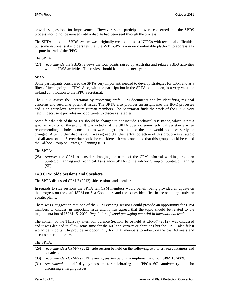provide suggestions for improvement. However, some participants were concerned that the SBDS process should not be revised until a dispute had been sent through the process.

The SPTA noted the SBDS system was originally created to assist NPPOs with technical difficulties but some national stakeholders felt that the WTO-SPS is a more comfortable platform to address any dispute instead of the IPPC.

#### The SPTA

(27) *recommends* the SBDS reviews the four points raised by Australia and relates SBDS activities with the IRSS activities. The review should be initiated next year.

#### *SPTA*

Some participants considered the SPTA very important, needed to develop strategies for CPM and as a filter of items going to CPM. Also, with the participation in the SPTA being open, is a very valuable in-kind contribution to the IPPC Secretariat.

The SPTA assists the Secretariat by reviewing draft CPM documents and by identifying regional concerns and resolving potential issues The SPTA also provides an insight into the IPPC processes and is an entry-level for future Bureau members. The Secretariat finds the work of the SPTA very helpful because it provides an opportunity to discuss strategies.

Some felt the title of the SPTA should be changed to not include Technical Assistance, which is not a specific activity of the group. It was noted that the SPTA does do some technical assistance when recommending technical consultations working groups, etc., so the title would not necessarily be changed. After further discussion, it was agreed that the central objective of this group was strategic and all areas of the Secretariat should be considered. It was concluded that this group should be called the Ad-hoc Group on Strategic Planning (SP).

#### The SPTA:

(28) *requests* the CPM to consider changing the name of the CPM informal working group on Strategic Planning and Technical Assistance (SPTA) to the Ad-hoc Group on Strategic Planning (SP).

#### **14.3 CPM Side Sessions and Speakers**

The SPTA discussed CPM-7 (2012) side sessions and speakers.

In regards to side sessions the SPTA felt CPM members would benefit being provided an update on the progress on the draft ISPM on Sea Containers and the issues identified in the scooping study on aquatic plants.

There was a suggestion that one of the CPM evening sessions could provide an opportunity for CPM members to discuss an important issue and it was agreed that the topic should be related to the implementation of ISPM 15. 2009. *Regulation of wood packaging material in international trade*.

The content of the Thursday afternoon Science Section, to be held at CPM-7 (2012), was discussed and it was decided to allow some time for the  $60<sup>th</sup>$  anniversary celebrations but the SPTA also felt it would be important to provide an opportunity for CPM members to reflect on the past 60 years and discuss emerging issues.

### The SPTA:

- (29) *recommends* a CPM-7 (2012) side session be held on the following two toics: sea containers and aquatic plants.
- (30) *recommends* a CPM-7 (2012) evening session be on the implementation of ISPM 15:2009.
- $(31)$  *recommends* a half day symposium for celebrating the IPPC's  $60<sup>th</sup>$  anniversary and for discussing emerging issues.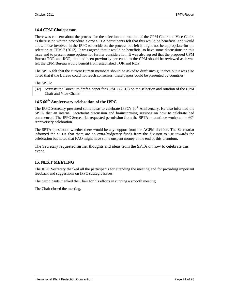## **14.4 CPM Chairperson**

There was concern about the process for the selection and rotation of the CPM Chair and Vice-Chairs as there is no written procedure. Some SPTA participants felt that this would be beneficial and would allow those involved in the IPPC to decide on the process but felt it might not be appropriate for the selection at CPM-7 (2012). It was agreed that it would be beneficial to have some discussions on this issue and to present some options for further consideration. It was also agreed that the proposed CPM Bureau TOR and ROP, that had been previously presented to the CPM should be reviewed as it was felt the CPM Bureau would benefit from established TOR and ROP.

The SPTA felt that the current Bureau members should be asked to draft such guidance but it was also noted that if the Bureau could not reach consensus, these papers could be presented by countries.

#### The SPTA:

(32) *requests* the Bureau to draft a paper for CPM-7 (2012) on the selection and rotation of the CPM Chair and Vice-Chairs.

## 14.5  $60^{\text{th}}$  Anniversary celebration of the IPPC

The IPPC Secretary presented some ideas to celebrate IPPC's 60<sup>th</sup> Anniversary. He also informed the SPTA that an internal Secretariat discussion and brainstorming sessions on how to celebrate had commenced. The IPPC Secretariat requested permission from the SPTA to continue work on the  $60<sup>th</sup>$ Anniversary celebration.

The SPTA questioned whether there would be any support from the AGPM division. The Secretariat informed the SPTA that there are no extra-budgetary funds from the division to use towards the celebration but noted that FAO might have some unspent money at the end of this biennium.

The Secretary requested further thoughts and ideas from the SPTA on how to celebrate this event.

## **15. NEXT MEETING**

The IPPC Secretary thanked all the participants for attending the meeting and for providing important feedback and suggestions on IPPC strategic issues.

The participants thanked the Chair for his efforts in running a smooth meeting.

The Chair closed the meeting.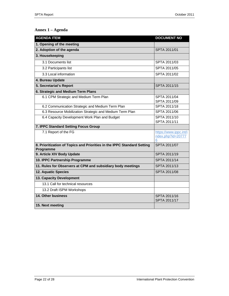# **Annex 1 – Agenda**

| <b>AGENDA ITEM</b>                                                                   | <b>DOCUMENT NO</b>                               |
|--------------------------------------------------------------------------------------|--------------------------------------------------|
| 1. Opening of the meeting                                                            |                                                  |
| 2. Adoption of the agenda                                                            | SPTA 2011/01                                     |
| 3. Housekeeping                                                                      |                                                  |
| 3.1 Documents list                                                                   | SPTA 2011/03                                     |
| 3.2 Participants list                                                                | SPTA 2011/05                                     |
| 3.3 Local information                                                                | SPTA 2011/02                                     |
| 4. Bureau Update                                                                     |                                                  |
| 5. Secretariat's Report                                                              | SPTA 2011/15                                     |
| 6. Strategic and Medium Term Plans                                                   |                                                  |
| 6.1 CPM Strategic and Medium Term Plan                                               | SPTA 2011/04<br>SPTA 2011/09                     |
| 6.2 Communication Strategic and Medium Term Plan                                     | SPTA 2011/18                                     |
| 6.3 Resource Mobilization Strategic and Medium Term Plan                             | SPTA 2011/06                                     |
| 6.4 Capacity Development Work Plan and Budget                                        | SPTA 2011/10<br>SPTA 2011/11                     |
| 7. IPPC Standard Setting Focus Group                                                 |                                                  |
| 7.1 Report of the FG                                                                 | https://www.ippc.int/i<br>ndex.php?id=20777<br>6 |
| 8. Prioritization of Topics and Priorities in the IPPC Standard Setting<br>Programme | SPTA 2011/07                                     |
| 9. Article XIV Body Update                                                           | SPTA 2011/19                                     |
| 10. IPPC Partnership Programme                                                       | SPTA 2011/14                                     |
| 11. Rules for Observers at CPM and subsidiary body meetings                          | SPTA 2011/13                                     |
| <b>12. Aquatic Species</b>                                                           | SPTA 2011/08                                     |
| 13. Capacity Development                                                             |                                                  |
| 13.1 Call for technical resources                                                    |                                                  |
| 13.2 Draft ISPM Workshops                                                            |                                                  |
| 14. Other business                                                                   | SPTA 2011/16<br>SPTA 2011/17                     |
| 15. Next meeting                                                                     |                                                  |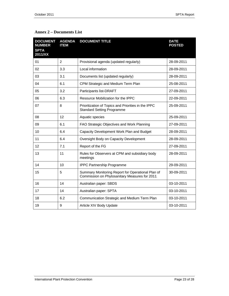| <b>DOCUMENT</b><br><b>NUMBER</b><br><b>SPTA</b><br>2011/XX | <b>AGENDA</b><br><b>ITEM</b> | <b>DOCUMENT TITLE</b>                                                                              | <b>DATE</b><br><b>POSTED</b> |
|------------------------------------------------------------|------------------------------|----------------------------------------------------------------------------------------------------|------------------------------|
| 01                                                         | $\overline{2}$               | Provisional agenda (updated regularly)                                                             | 28-09-2011                   |
| 02                                                         | 3.3                          | Local information                                                                                  | 28-09-2011                   |
| 03                                                         | 3.1                          | Documents list (updated regularly)                                                                 | 28-09-2011                   |
| 04                                                         | 6.1                          | CPM Strategic and Medium Term Plan                                                                 | 25-08-2011                   |
| 05                                                         | 3.2                          | Participants list-DRAFT                                                                            | 27-09-2011                   |
| 06                                                         | 6.3                          | Resource Mobilization for the IPPC                                                                 | 22-09-2011                   |
| 07                                                         | 8                            | Prioritization of Topics and Priorities in the IPPC<br><b>Standard Setting Programme</b>           | 25-09-2011                   |
| 08                                                         | 12                           | Aquatic species                                                                                    | 25-09-2011                   |
| 09                                                         | 6.1                          | FAO Strategic Objectives and Work Planning                                                         | 27-09-2011                   |
| 10                                                         | 6.4                          | Capacity Development Work Plan and Budget                                                          | 28-09-2011                   |
| 11                                                         | 6.4                          | Oversight Body on Capacity Development                                                             | 28-09-2011                   |
| 12                                                         | 7.1                          | Report of the FG                                                                                   | 27-09-2011                   |
| 13                                                         | 11                           | Rules for Observers at CPM and subsidiary body<br>meetings                                         | 28-09-2011                   |
| 14                                                         | 10                           | <b>IPPC Partnership Programme</b>                                                                  | 29-09-2011                   |
| 15                                                         | 5                            | Summary Monitoring Report for Operational Plan of<br>Commission on Phytosanitary Measures for 2011 | 30-09-2011                   |
| 16                                                         | 14                           | Australian paper: SBDS                                                                             | 03-10-2011                   |

17 | 14 | Australian paper: SPTA | 03-10-2011 18 **6.2** Communication Strategic and Medium Term Plan | 03-10-2011 19 9 Article XIV Body Update 19 03-10-2011

## **Annex 2 – Documents List**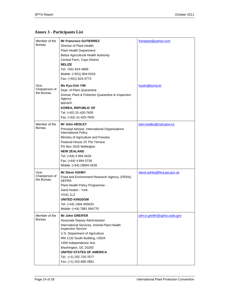# **Annex 3 - Participants List**

| Member of the<br><b>Bureau</b>        | <b>Mr Francisco GUTIERREZ</b><br>Director of Plant Health<br><b>Plant Health Department</b><br><b>Belize Agricultural Health Authority</b><br>Central Farm, Cayo District<br><b>BELIZE</b><br>Tel: +501 824-4899<br>Mobile: (+501) 604-0319<br>Fax: (+501) 824-3773                                                                       | frankpest@yahoo.com           |
|---------------------------------------|-------------------------------------------------------------------------------------------------------------------------------------------------------------------------------------------------------------------------------------------------------------------------------------------------------------------------------------------|-------------------------------|
| Vice-<br>Chairperson of<br>the Bureau | Ms Kyu-Ock YIM<br>Dept. of Plant Quarantine<br>Animal, Plant & Fisheries Quarantine & Inspection<br>Agency<br><b>MIFAFF</b><br><b>KOREA, REPUBLIC OF</b><br>Tel: (+82) 31-420-7605<br>Fax: (+82) 31-420-7605                                                                                                                              | koyim@korea.kr                |
| Member of the<br><b>Bureau</b>        | <b>Mr John HEDLEY</b><br>Principal Adviser, International Organisations<br>International Policy<br>Ministry of Agriculture and Forestry<br>Pastoral House 25 The Terrace<br>PO Box 2526 Wellington<br><b>NEW ZEALAND</b><br>Tel: (+64) 4 894 0428<br>Fax: (+64) 4 894 0736<br>Mobile: (+64) 29894 0428                                    | john.hedley@maf.govt.nz       |
| Vice-<br>Chairperson of<br>the Bureau | <b>Mr Steve ASHBY</b><br>Food and Environment Research Agency, (FERA),<br><b>DEFRA</b><br>Plant Health Policy Programme -<br>Sand Hutton - York<br><b>YO41 1LZ</b><br><b>UNITED KINGDOM</b><br>Tel: (+44) 1904 465633<br>Mobile: (+44) 7881 994770                                                                                        | steve.ashby@fera.gsi.gov.uk   |
| Member of the<br>Bureau               | <b>Mr John GREIFER</b><br>Associate Deputy Administrator<br>International Services, Animal Plant Health<br><b>Inspection Service</b><br>U.S. Department of Agriculture<br>RM 1132 South Building, USDA<br>1400 Independence Ave.<br>Washington, DC 20250<br>UNITED STATES OF AMERICA<br>Tel.: (+1) 202-720-7677<br>Fax: (+1) 202-690-2861 | john.k.greifer@aphis.usda.gov |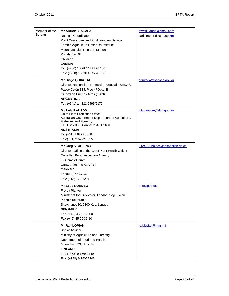| Member of the<br>Bureau | <b>Mr Arundel SAKALA</b><br><b>National Coordinator</b><br>Plant Quarantine and Phytosanitary Service<br>Zambia Agriculture Research Institute<br>Mount Makulu Research Station<br>Private Bag 07<br>Chilanga<br><b>ZAMBIA</b><br>Tel: (+260) 1 278 141 / 278 130 | mwati1lango@gmail.com<br>zaridirector@zari.gov.zm |
|-------------------------|-------------------------------------------------------------------------------------------------------------------------------------------------------------------------------------------------------------------------------------------------------------------|---------------------------------------------------|
|                         | Fax: (+260) 1 278141 / 278 130<br><b>Mr Diego QUIROGA</b><br>Director Nacional de Protección Vegetal - SENASA<br>Paseo Colón 315, Piso 4º Dpto. B<br>Ciudad de Buenos Aires (1063)<br><b>ARGENTINA</b><br>Tel. (+541) 1 4121 5495/5176                            | dquiroga@senasa.gov.ar                            |
|                         | <b>Ms Lois RANSOM</b><br><b>Chief Plant Protection Officer</b><br>Australian Government Department of Agriculture,<br><b>Fisheries and Forestry</b><br>GPO Box 858, Canberra ACT 2601<br><b>AUSTRALIA</b><br>Tel:(+61) 2 6272 4888<br>Fax: (+61) 2 6272 5835      | lois.ransom@daff.gov.au                           |
|                         | <b>Mr Greg STUBBINGS</b><br>Director, Office of the Chief Plant Health Officer<br>Canadian Food Inspection Agency<br>59 Camelot Drive<br>Ottawa, Ontario K1A 0Y9<br><b>CANADA</b><br>Tel: (613) 773-7247<br>Fax: (613) 773-7204                                   | Greg.Stubbings@inspection.gc.ca                   |
|                         | <b>Mr Ebbe NORDBO</b><br>Frø og Planter<br>Ministeriet for Fødevarer, Landbrug og Fiskeri<br>Plantedirektoratet<br>Skovbrynet 20, 2800 Kgs. Lyngby<br><b>DENMARK</b><br>Tel:. (+45) 45 26 36 00<br>Fax (+45) 45 26 36 10                                          | eno@pdir.dk                                       |
|                         | <b>Mr Ralf LOPIAN</b><br>Senior Advisor<br>Ministry of Agriculture and Forestry<br>Department of Food and Health<br>Mariankatu 23, Helsinki<br><b>FINLAND</b><br>Tel: (+358) 9 16052449<br>Fax: (+358) 9 16052443                                                 | ralf.lopian@mmm.fi                                |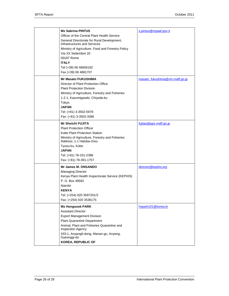| <b>Ms Sabrina PINTUS</b><br>Officer of the Central Plant Health Service<br>General Directorate for Rural Development,<br>Infrastructures and Services<br>Ministry of Agriculture, Food and Forestry Policy<br>Via XX Settembre 20<br>00187 Rome<br><b>ITALY</b><br>Tel (+39) 06 46656192<br>Fax (+39) 06 4881707 | s.pintus@mpaaf.gov.it          |
|------------------------------------------------------------------------------------------------------------------------------------------------------------------------------------------------------------------------------------------------------------------------------------------------------------------|--------------------------------|
| <b>Mr Masato FUKUSHIMA</b><br>Director of Plant Protection Office<br><b>Plant Protection Division</b><br>Ministry of Agriculture, Forestry and Fisheries<br>1-2-1, Kasumigaseki, Chiyoda-ku<br>Tokyo<br><b>JAPAN</b><br>Tel: (+81) 3-3502-5978<br>Fax: (+81) 3-3502-3386                                         | masato_fukushima@nm.maff.go.jp |
| <b>Mr Shoichi FUJITA</b><br><b>Plant Protection Officer</b><br>Kobe Plant Protection Station<br>Ministry of Agriculture, Forestry and Fisheries<br>Address: 1-1 Hatoba-chou<br>Tyuou-ku, Kobe<br><b>JAPAN</b><br>Tel: (+81) 78-331-2386<br>Fax: (+81) 78-391-1757                                                | fujitas@pps.maff.go.jp         |
| Mr James M. ONSANDO<br><b>Managing Director</b><br>Kenya Plant Health Inspectorate Service (KEPHIS)<br>P. O. Box 49592<br>Nairobi<br><b>KENYA</b><br>Tel: (+254) 020 3597201/3<br>Fax: (+254) 020 3536175                                                                                                        | director@kephis.org            |
| <b>Ms Hongsook PARK</b><br><b>Assistant Director</b><br><b>Export Management Division</b><br><b>Plant Quarantine Department</b><br>Animal, Plant and Fisheries Quarantine and<br><b>Inspection Agency</b><br>433-1, Anyang6-dong, Manan-gu, Anyang,<br>Gyeonggi-do<br><b>KOREA, REPUBLIC OF</b>                  | hspark101@korea.kr             |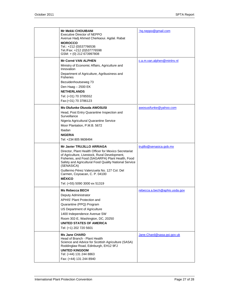| Mr Mekki CHOUIBANI<br><b>Executive Director of NEPPO</b><br>Avenue Hadj Ahmed Cherkaoui. Agdal. Rabat<br><b>MOROCCO</b><br>Tel.: +212 (0)537766536<br>Tel./Fax: +212 (0)537776598<br>GSM: + (0) 212 673997808                                                                                                                                                                                            | hq.neppo@gmail.com            |
|----------------------------------------------------------------------------------------------------------------------------------------------------------------------------------------------------------------------------------------------------------------------------------------------------------------------------------------------------------------------------------------------------------|-------------------------------|
| <b>Mr Corné VAN ALPHEN</b><br>Ministry of Economic Affairs, Agriculture and<br>Innovation<br>Department of Agriculture, Agribusiness and<br><b>Fisheries</b><br>Bezuidenhoutseweg 73<br>Den Haag - 2500 EK<br><b>NETHERLANDS</b><br>Tel: (+31) 70 3785552<br>Fax: (+31) 70 3786123                                                                                                                       | c.a.m.van.alphen@minlnv.nl    |
| Ms Olufunke Olusola AWOSUSI<br>Head, Post Entry Quarantine Inspection and<br>Surveillance<br>Nigeria Agricultural Quarantine Service<br>Moor Plantation, P.M.B. 5672<br>Ibadan<br><b>NIGERIA</b><br>Tel: +234 805 9608494                                                                                                                                                                                | awosusifunke@yahoo.com        |
| <b>Mr Javier TRUJILLO ARRIAGA</b><br>Director, Plant Health Officer for Mexico Secretariat<br>of Agriculture, Livestock, Rural Development,<br>Fisheries, and Food (SAGARPA) Plant Health, Food<br>Safety and Agricultural Food Quality National Service<br>(SENASICA)<br>Guillermo Pérez Valenzuela No. 127 Col. Del<br>Carmen, Coyoacan, C. P. 04100<br><b>MÉXICO</b><br>Tel: (+55) 5090 3000 ex 51319 | trujillo@senasica.gob.mx      |
| <b>Ms Rebecca BECH</b><br>Deputy Administrator<br>APHIS' Plant Protection and<br>Quarantine (PPQ) Program<br>US Department of Agriculture<br>1400 Independence Avenue SW<br>Room 302-E, Washington, DC, 20250<br>UNITED STATES OF AMERICA<br>Tel: (+1) 202 720 5601                                                                                                                                      | rebecca.a.bech@aphis.usda.gov |
| <b>Ms Jane CHARD</b><br>Head of Branch - Plant Health<br>Science and Advice for Scottish Agriculture (SASA)<br>Roddinglaw Road, Edinburgh, EH12 9FJ<br><b>UNITED KINGDOM</b><br>Tel: (+44) 131 244 8863<br>Fax: (+44) 131 244 8940                                                                                                                                                                       | Jane.Chard@sasa.gsi.gov.uk    |